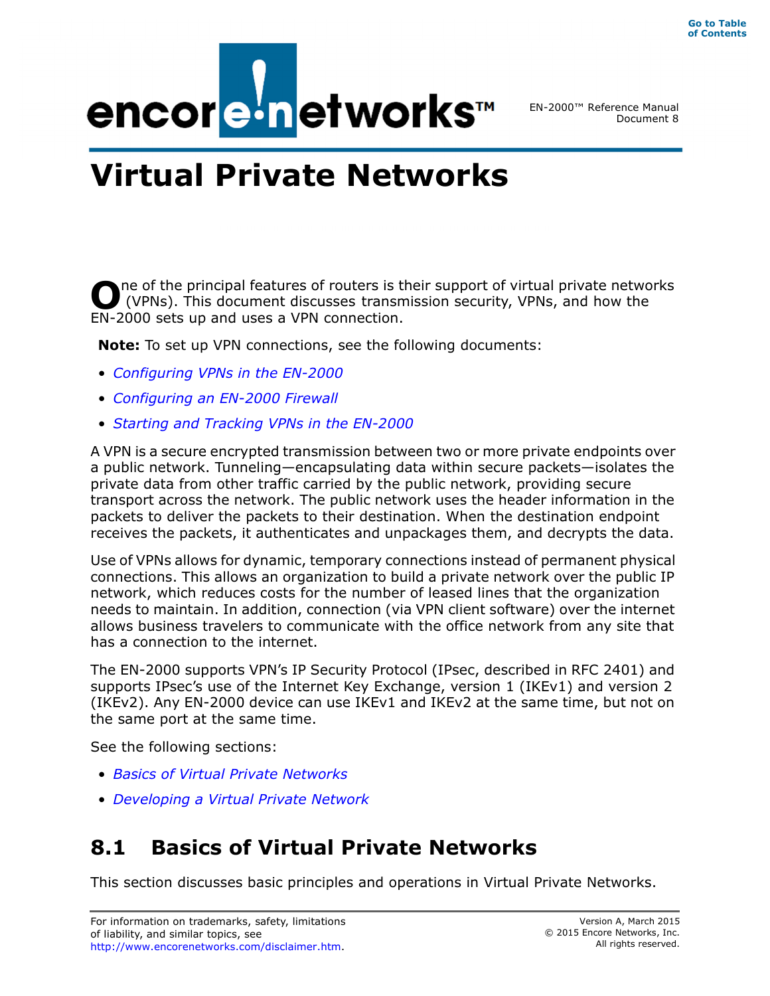

EN-2000™ Reference Manual Document 8

# **Virtual Private Networks**

ne of the principal features of routers is their support of virtual private networks (VPNs). This document discusses transmission security, VPNs, and how the **O** ne of the principal features of routers is the (VPNs). This document discusses transm<br>EN-2000 sets up and uses a VPN connection.

**Note:** To set up VPN connections, see the following documents:

- *Configuring VPNs in the EN-2000*
- *Configuring an EN-2000 Firewall*
- *Starting and Tracking VPNs in the EN-2000*

A VPN is a secure encrypted transmission between two or more private endpoints over a public network. Tunneling—encapsulating data within secure packets—isolates the private data from other traffic carried by the public network, providing secure transport across the network. The public network uses the header information in the packets to deliver the packets to their destination. When the destination endpoint receives the packets, it authenticates and unpackages them, and decrypts the data.

Use of VPNs allows for dynamic, temporary connections instead of permanent physical connections. This allows an organization to build a private network over the public IP network, which reduces costs for the number of leased lines that the organization needs to maintain. In addition, connection (via VPN client software) over the internet allows business travelers to communicate with the office network from any site that has a connection to the internet.

The EN-2000 supports VPN's IP Security Protocol (IPsec, described in RFC 2401) and supports IPsec's use of the Internet Key Exchange, version 1 (IKEv1) and version 2 (IKEv2). Any EN-2000 device can use IKEv1 and IKEv2 at the same time, but not on the same port at the same time.

See the following sections:

- *Basics of Virtual Private Networks*
- *Developing a Virtual Private Network*

# **8.1 Basics of Virtual Private Networks**

This section discusses basic principles and operations in Virtual Private Networks.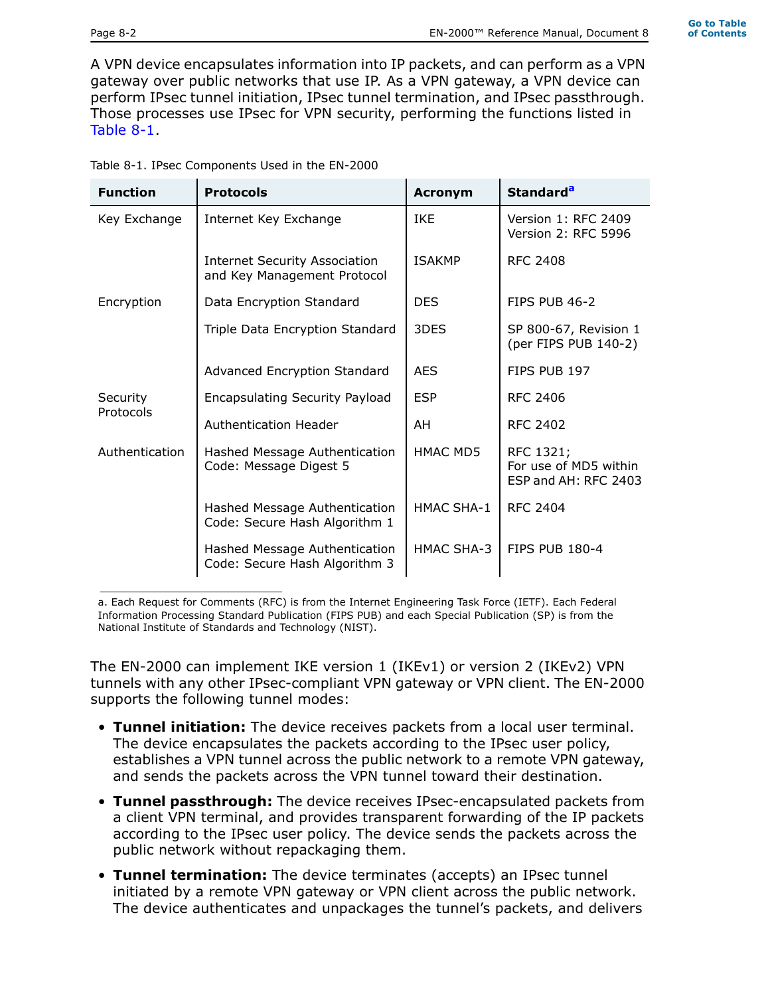**Go to Table of Contents**

A VPN device encapsulates information into IP packets, and can perform as a VPN gateway over public networks that use IP. As a VPN gateway, a VPN device can perform IPsec tunnel initiation, IPsec tunnel termination, and IPsec passthrough. Those processes use IPsec for VPN security, performing the functions listed in Table 8-1.

| Table 8-1. IPsec Components Used in the EN-2000 |  |
|-------------------------------------------------|--|

| <b>Function</b> | <b>Protocols</b>                                                    | <b>Acronym</b>  | Standard <sup>a</sup>                                      |
|-----------------|---------------------------------------------------------------------|-----------------|------------------------------------------------------------|
| Key Exchange    | Internet Key Exchange                                               | <b>IKE</b>      | Version 1: RFC 2409<br>Version 2: RFC 5996                 |
|                 | <b>Internet Security Association</b><br>and Key Management Protocol | <b>ISAKMP</b>   | <b>RFC 2408</b>                                            |
| Encryption      | Data Encryption Standard                                            | <b>DES</b>      | FIPS PUB 46-2                                              |
|                 | Triple Data Encryption Standard                                     | 3DES            | SP 800-67, Revision 1<br>(per FIPS PUB 140-2)              |
|                 | Advanced Encryption Standard                                        | <b>AES</b>      | FIPS PUB 197                                               |
| Security        | <b>Encapsulating Security Payload</b>                               | <b>ESP</b>      | <b>RFC 2406</b>                                            |
| Protocols       | Authentication Header                                               | AH              | RFC 2402                                                   |
| Authentication  | Hashed Message Authentication<br>Code: Message Digest 5             | <b>HMAC MD5</b> | RFC 1321;<br>For use of MD5 within<br>ESP and AH: RFC 2403 |
|                 | Hashed Message Authentication<br>Code: Secure Hash Algorithm 1      | HMAC SHA-1      | <b>RFC 2404</b>                                            |
|                 | Hashed Message Authentication<br>Code: Secure Hash Algorithm 3      | HMAC SHA-3      | <b>FIPS PUB 180-4</b>                                      |

a. Each Request for Comments (RFC) is from the Internet Engineering Task Force (IETF). Each Federal Information Processing Standard Publication (FIPS PUB) and each Special Publication (SP) is from the National Institute of Standards and Technology (NIST).

The EN-2000 can implement IKE version 1 (IKEv1) or version 2 (IKEv2) VPN tunnels with any other IPsec-compliant VPN gateway or VPN client. The EN-2000 supports the following tunnel modes:

- **Tunnel initiation:** The device receives packets from a local user terminal. The device encapsulates the packets according to the IPsec user policy, establishes a VPN tunnel across the public network to a remote VPN gateway, and sends the packets across the VPN tunnel toward their destination.
- **Tunnel passthrough:** The device receives IPsec-encapsulated packets from a client VPN terminal, and provides transparent forwarding of the IP packets according to the IPsec user policy. The device sends the packets across the public network without repackaging them.
- **Tunnel termination:** The device terminates (accepts) an IPsec tunnel initiated by a remote VPN gateway or VPN client across the public network. The device authenticates and unpackages the tunnel's packets, and delivers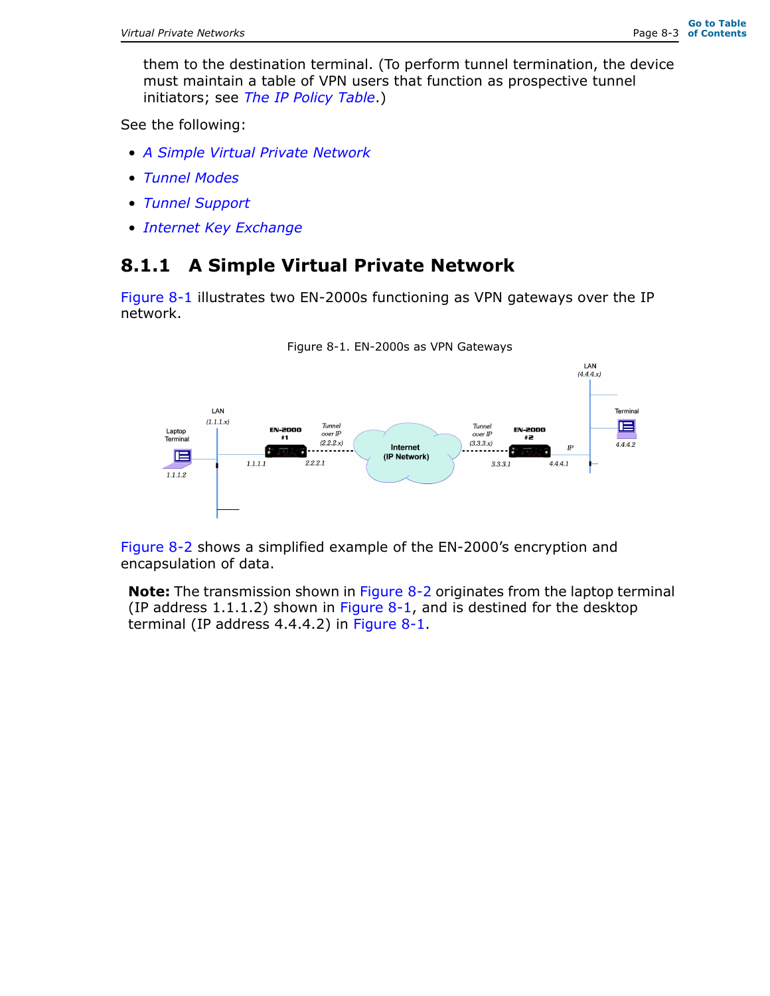them to the destination terminal. (To perform tunnel termination, the device must maintain a table of VPN users that function as prospective tunnel initiators; see *The IP Policy Table*.)

See the following:

- *A Simple Virtual Private Network*
- *Tunnel Modes*
- *Tunnel Support*
- *Internet Key Exchange*

# **8.1.1 A Simple Virtual Private Network**

Figure 8-1 illustrates two EN-2000s functioning as VPN gateways over the IP network.





Figure 8-2 shows a simplified example of the EN-2000's encryption and encapsulation of data.

**Note:** The transmission shown in Figure 8-2 originates from the laptop terminal (IP address  $1.1.1.2$ ) shown in Figure 8-1, and is destined for the desktop terminal (IP address 4.4.4.2) in Figure 8-1.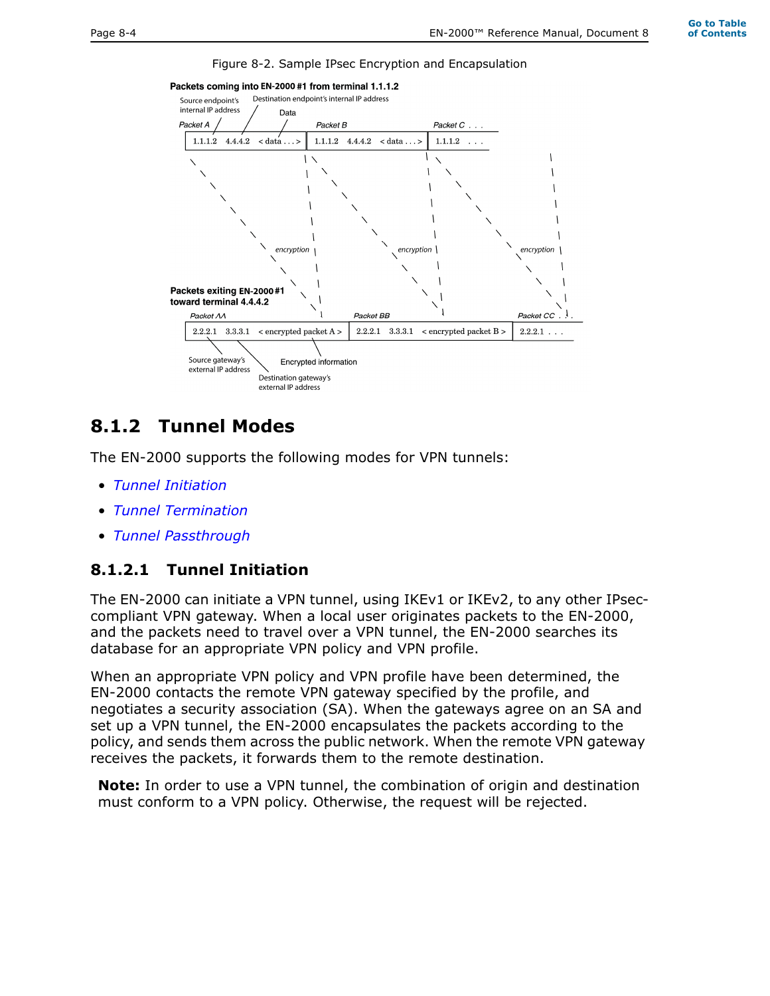Figure 8-2. Sample IPsec Encryption and Encapsulation



# **8.1.2 Tunnel Modes**

The EN-2000 supports the following modes for VPN tunnels:

- *Tunnel Initiation*
- *Tunnel Termination*
- *Tunnel Passthrough*

#### **8.1.2.1 Tunnel Initiation**

The EN-2000 can initiate a VPN tunnel, using IKEv1 or IKEv2, to any other IPseccompliant VPN gateway. When a local user originates packets to the EN-2000, and the packets need to travel over a VPN tunnel, the EN-2000 searches its database for an appropriate VPN policy and VPN profile.

When an appropriate VPN policy and VPN profile have been determined, the EN-2000 contacts the remote VPN gateway specified by the profile, and negotiates a security association (SA). When the gateways agree on an SA and set up a VPN tunnel, the EN-2000 encapsulates the packets according to the policy, and sends them across the public network. When the remote VPN gateway receives the packets, it forwards them to the remote destination.

**Note:** In order to use a VPN tunnel, the combination of origin and destination must conform to a VPN policy. Otherwise, the request will be rejected.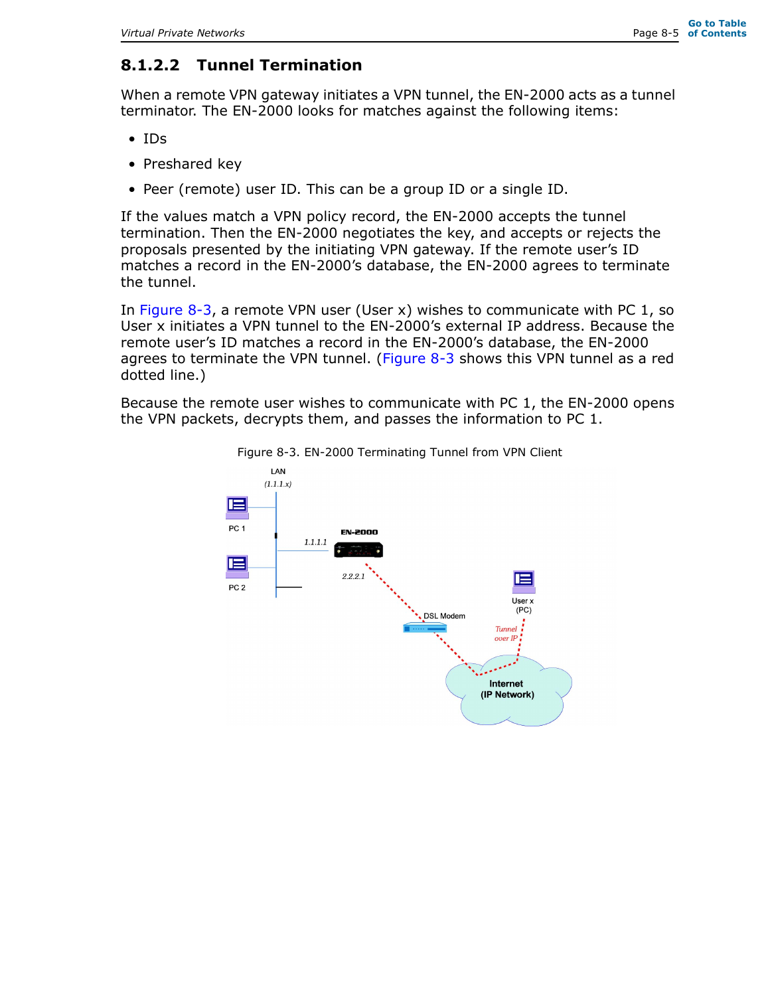# **8.1.2.2 Tunnel Termination**

When a remote VPN gateway initiates a VPN tunnel, the EN-2000 acts as a tunnel terminator. The EN-2000 looks for matches against the following items:

- IDs
- Preshared key
- Peer (remote) user ID. This can be a group ID or a single ID.

If the values match a VPN policy record, the EN-2000 accepts the tunnel termination. Then the EN-2000 negotiates the key, and accepts or rejects the proposals presented by the initiating VPN gateway. If the remote user's ID matches a record in the EN-2000's database, the EN-2000 agrees to terminate the tunnel.

In Figure 8-3, a remote VPN user (User x) wishes to communicate with PC 1, so User x initiates a VPN tunnel to the EN-2000's external IP address. Because the remote user's ID matches a record in the EN-2000's database, the EN-2000 agrees to terminate the VPN tunnel. (Figure  $8-3$  shows this VPN tunnel as a red dotted line.)

Because the remote user wishes to communicate with PC 1, the EN-2000 opens the VPN packets, decrypts them, and passes the information to PC 1.



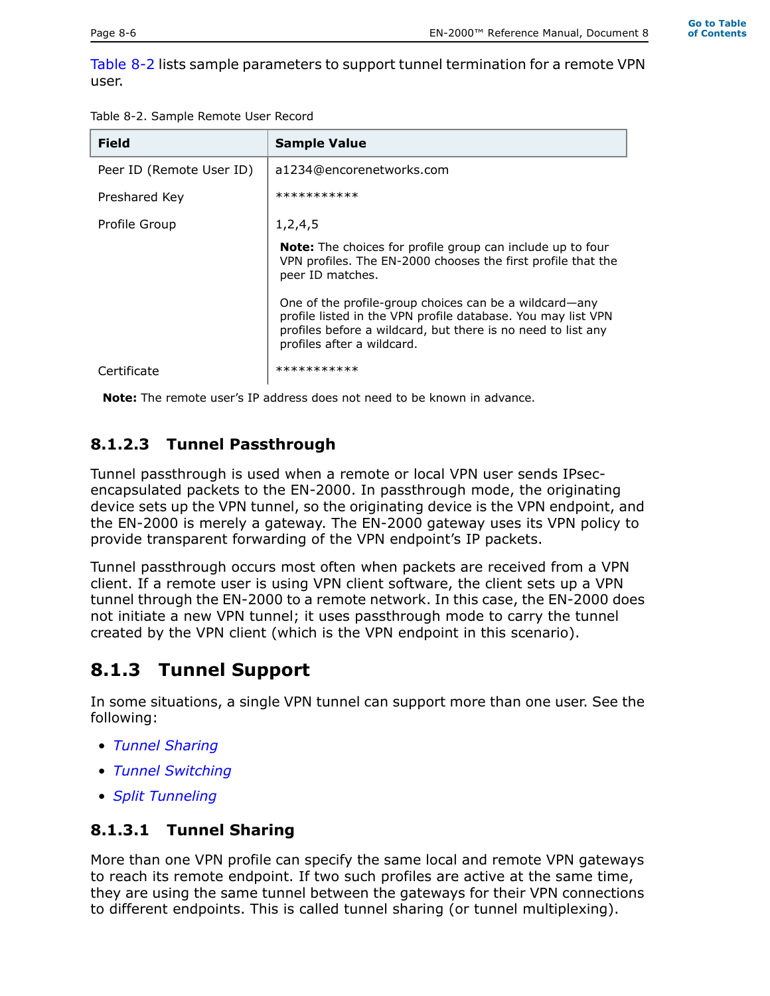Table 8-2 lists sample parameters to support tunnel termination for a remote VPN user.

| <b>Field</b>             | <b>Sample Value</b>                                                                                                                                                                                                  |
|--------------------------|----------------------------------------------------------------------------------------------------------------------------------------------------------------------------------------------------------------------|
| Peer ID (Remote User ID) | a1234@encorenetworks.com                                                                                                                                                                                             |
| Preshared Key            | ***********                                                                                                                                                                                                          |
| Profile Group            | 1, 2, 4, 5                                                                                                                                                                                                           |
|                          | <b>Note:</b> The choices for profile group can include up to four<br>VPN profiles. The EN-2000 chooses the first profile that the<br>peer ID matches.                                                                |
|                          | One of the profile-group choices can be a wildcard—any<br>profile listed in the VPN profile database. You may list VPN<br>profiles before a wildcard, but there is no need to list any<br>profiles after a wildcard. |
| Certificate              | ***********                                                                                                                                                                                                          |

**Note:** The remote user's IP address does not need to be known in advance.

# **8.1.2.3 Tunnel Passthrough**

Tunnel passthrough is used when a remote or local VPN user sends IPsecencapsulated packets to the EN-2000. In passthrough mode, the originating device sets up the VPN tunnel, so the originating device is the VPN endpoint, and the EN-2000 is merely a gateway. The EN-2000 gateway uses its VPN policy to provide transparent forwarding of the VPN endpoint's IP packets.

Tunnel passthrough occurs most often when packets are received from a VPN client. If a remote user is using VPN client software, the client sets up a VPN tunnel through the EN-2000 to a remote network. In this case, the EN-2000 does not initiate a new VPN tunnel; it uses passthrough mode to carry the tunnel created by the VPN client (which is the VPN endpoint in this scenario).

# **8.1.3 Tunnel Support**

In some situations, a single VPN tunnel can support more than one user. See the following:

- *Tunnel Sharing*
- *Tunnel Switching*
- *Split Tunneling*

# **8.1.3.1 Tunnel Sharing**

More than one VPN profile can specify the same local and remote VPN gateways to reach its remote endpoint. If two such profiles are active at the same time, they are using the same tunnel between the gateways for their VPN connections to different endpoints. This is called tunnel sharing (or tunnel multiplexing).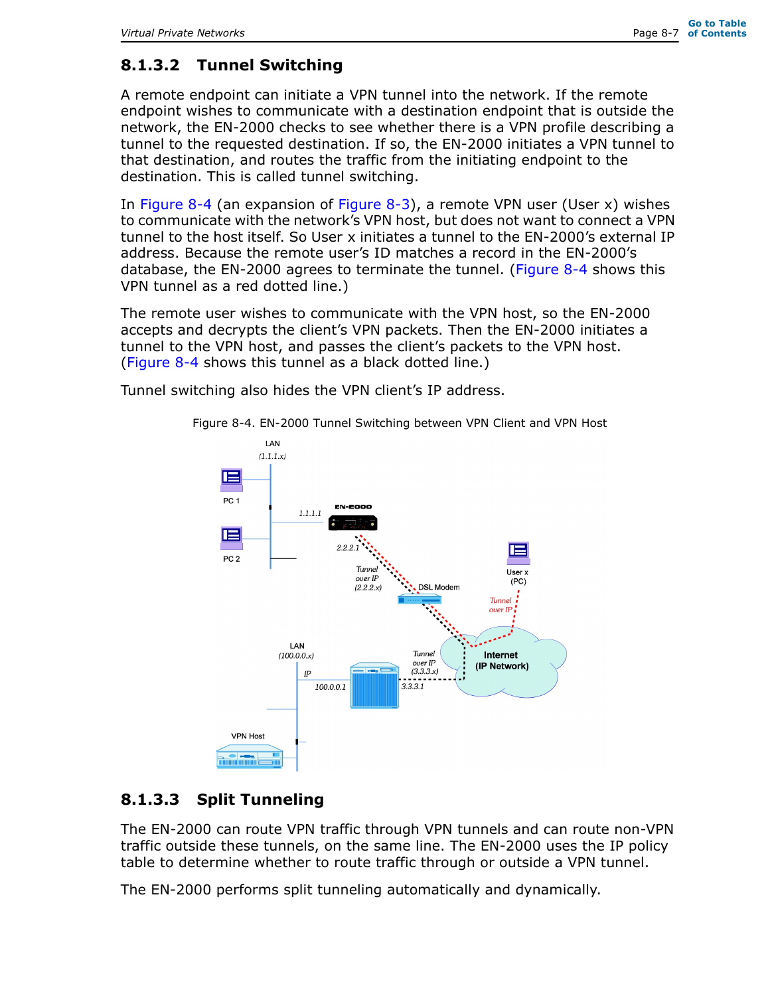# **8.1.3.2 Tunnel Switching**

A remote endpoint can initiate a VPN tunnel into the network. If the remote endpoint wishes to communicate with a destination endpoint that is outside the network, the EN-2000 checks to see whether there is a VPN profile describing a tunnel to the requested destination. If so, the EN-2000 initiates a VPN tunnel to that destination, and routes the traffic from the initiating endpoint to the destination. This is called tunnel switching.

In Figure 8-4 (an expansion of Figure 8-3), a remote VPN user (User x) wishes to communicate with the network's VPN host, but does not want to connect a VPN tunnel to the host itself. So User x initiates a tunnel to the EN-2000's external IP address. Because the remote user's ID matches a record in the EN-2000's database, the EN-2000 agrees to terminate the tunnel. (Figure 8-4 shows this VPN tunnel as a red dotted line.)

The remote user wishes to communicate with the VPN host, so the EN-2000 accepts and decrypts the client's VPN packets. Then the EN-2000 initiates a tunnel to the VPN host, and passes the client's packets to the VPN host. (Figure 8-4 shows this tunnel as a black dotted line.)

Tunnel switching also hides the VPN client's IP address.



Figure 8-4. EN-2000 Tunnel Switching between VPN Client and VPN Host

### **8.1.3.3 Split Tunneling**

The EN-2000 can route VPN traffic through VPN tunnels and can route non-VPN traffic outside these tunnels, on the same line. The EN-2000 uses the IP policy table to determine whether to route traffic through or outside a VPN tunnel.

The EN-2000 performs split tunneling automatically and dynamically.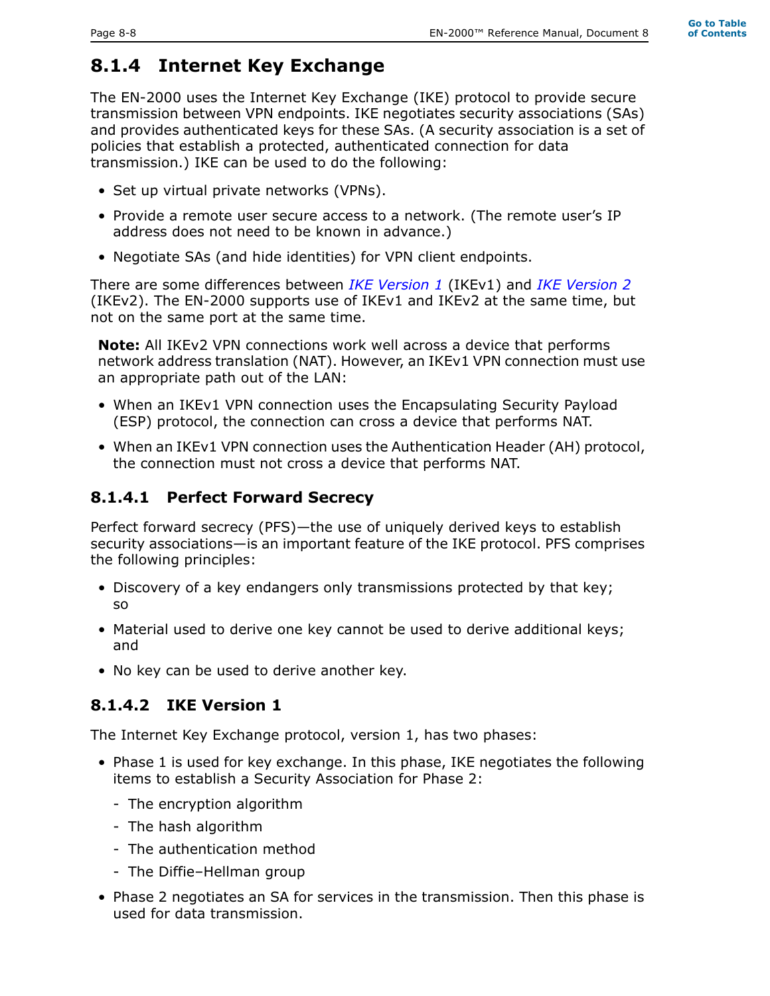# **8.1.4 Internet Key Exchange**

The EN-2000 uses the Internet Key Exchange (IKE) protocol to provide secure transmission between VPN endpoints. IKE negotiates security associations (SAs) and provides authenticated keys for these SAs. (A security association is a set of policies that establish a protected, authenticated connection for data transmission.) IKE can be used to do the following:

- Set up virtual private networks (VPNs).
- Provide a remote user secure access to a network. (The remote user's IP address does not need to be known in advance.)
- Negotiate SAs (and hide identities) for VPN client endpoints.

There are some differences between *IKE Version 1* (IKEv1) and *IKE Version 2* (IKEv2). The EN-2000 supports use of IKEv1 and IKEv2 at the same time, but not on the same port at the same time.

**Note:** All IKEv2 VPN connections work well across a device that performs network address translation (NAT). However, an IKEv1 VPN connection must use an appropriate path out of the LAN:

- When an IKEv1 VPN connection uses the Encapsulating Security Payload (ESP) protocol, the connection can cross a device that performs NAT.
- When an IKEv1 VPN connection uses the Authentication Header (AH) protocol, the connection must not cross a device that performs NAT.

# **8.1.4.1 Perfect Forward Secrecy**

Perfect forward secrecy (PFS)—the use of uniquely derived keys to establish security associations—is an important feature of the IKE protocol. PFS comprises the following principles:

- Discovery of a key endangers only transmissions protected by that key; so
- Material used to derive one key cannot be used to derive additional keys; and
- No key can be used to derive another key.

# **8.1.4.2 IKE Version 1**

The Internet Key Exchange protocol, version 1, has two phases:

- Phase 1 is used for key exchange. In this phase, IKE negotiates the following items to establish a Security Association for Phase 2:
	- The encryption algorithm
	- The hash algorithm
	- The authentication method
	- The Diffie–Hellman group
- Phase 2 negotiates an SA for services in the transmission. Then this phase is used for data transmission.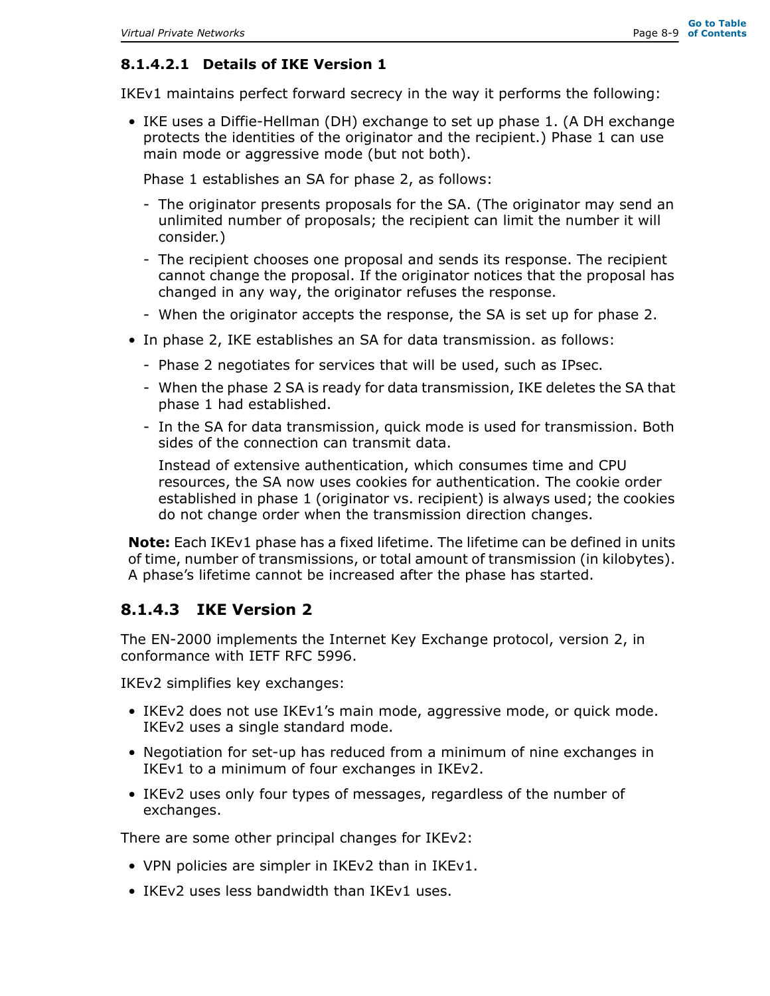#### **8.1.4.2.1 Details of IKE Version 1**

IKEv1 maintains perfect forward secrecy in the way it performs the following:

• IKE uses a Diffie-Hellman (DH) exchange to set up phase 1. (A DH exchange protects the identities of the originator and the recipient.) Phase 1 can use main mode or aggressive mode (but not both).

Phase 1 establishes an SA for phase 2, as follows:

- The originator presents proposals for the SA. (The originator may send an unlimited number of proposals; the recipient can limit the number it will consider.)
- The recipient chooses one proposal and sends its response. The recipient cannot change the proposal. If the originator notices that the proposal has changed in any way, the originator refuses the response.
- When the originator accepts the response, the SA is set up for phase 2.
- In phase 2, IKE establishes an SA for data transmission. as follows:
	- Phase 2 negotiates for services that will be used, such as IPsec.
	- When the phase 2 SA is ready for data transmission, IKE deletes the SA that phase 1 had established.
	- In the SA for data transmission, quick mode is used for transmission. Both sides of the connection can transmit data.

Instead of extensive authentication, which consumes time and CPU resources, the SA now uses cookies for authentication. The cookie order established in phase 1 (originator vs. recipient) is always used; the cookies do not change order when the transmission direction changes.

**Note:** Each IKEv1 phase has a fixed lifetime. The lifetime can be defined in units of time, number of transmissions, or total amount of transmission (in kilobytes). A phase's lifetime cannot be increased after the phase has started.

### **8.1.4.3 IKE Version 2**

The EN-2000 implements the Internet Key Exchange protocol, version 2, in conformance with IETF RFC 5996.

IKEv2 simplifies key exchanges:

- IKEv2 does not use IKEv1's main mode, aggressive mode, or quick mode. IKEv2 uses a single standard mode.
- Negotiation for set-up has reduced from a minimum of nine exchanges in IKEv1 to a minimum of four exchanges in IKEv2.
- IKEv2 uses only four types of messages, regardless of the number of exchanges.

There are some other principal changes for IKEv2:

- VPN policies are simpler in IKEv2 than in IKEv1.
- IKEv2 uses less bandwidth than IKEv1 uses.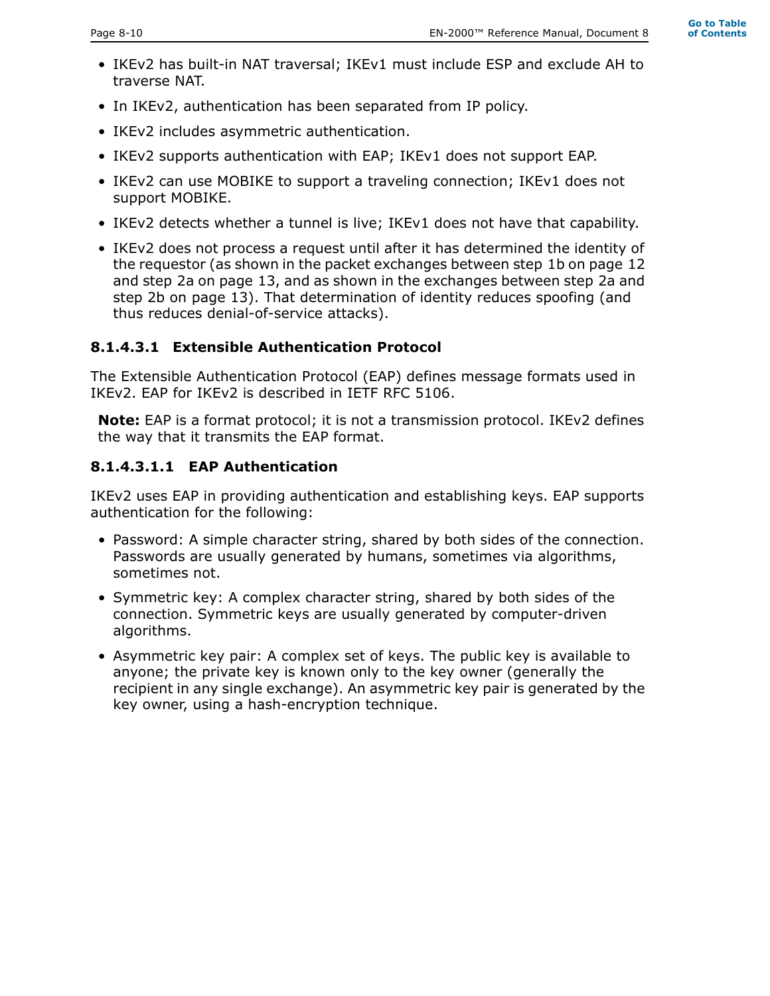- IKEv2 has built-in NAT traversal; IKEv1 must include ESP and exclude AH to traverse NAT.
- In IKEv2, authentication has been separated from IP policy.
- IKEv2 includes asymmetric authentication.
- IKEv2 supports authentication with EAP; IKEv1 does not support EAP.
- IKEv2 can use MOBIKE to support a traveling connection; IKEv1 does not support MOBIKE.
- IKEv2 detects whether a tunnel is live; IKEv1 does not have that capability.
- IKEv2 does not process a request until after it has determined the identity of the requestor (as shown in the packet exchanges between step 1b on page 12 and step 2a on page 13, and as shown in the exchanges between step 2a and step 2b on page 13). That determination of identity reduces spoofing (and thus reduces denial-of-service attacks).

#### **8.1.4.3.1 Extensible Authentication Protocol**

The Extensible Authentication Protocol (EAP) defines message formats used in IKEv2. EAP for IKEv2 is described in IETF RFC 5106.

**Note:** EAP is a format protocol; it is not a transmission protocol. IKEv2 defines the way that it transmits the EAP format.

#### **8.1.4.3.1.1 EAP Authentication**

IKEv2 uses EAP in providing authentication and establishing keys. EAP supports authentication for the following:

- Password: A simple character string, shared by both sides of the connection. Passwords are usually generated by humans, sometimes via algorithms, sometimes not.
- Symmetric key: A complex character string, shared by both sides of the connection. Symmetric keys are usually generated by computer-driven algorithms.
- Asymmetric key pair: A complex set of keys. The public key is available to anyone; the private key is known only to the key owner (generally the recipient in any single exchange). An asymmetric key pair is generated by the key owner, using a hash-encryption technique.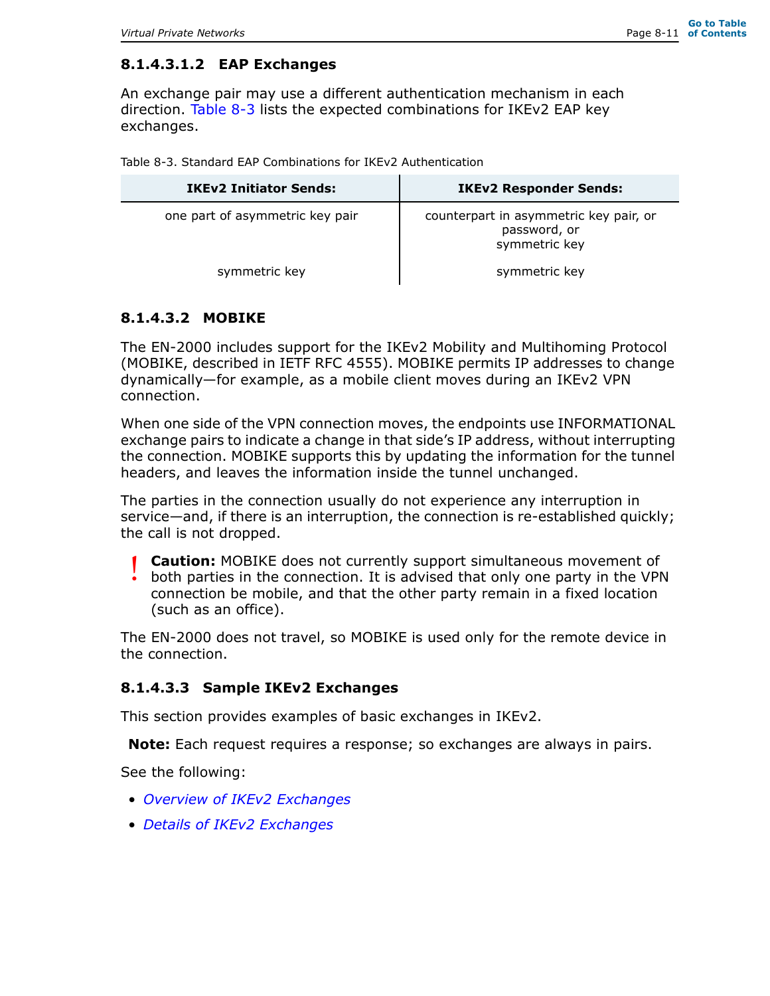#### **8.1.4.3.1.2 EAP Exchanges**

An exchange pair may use a different authentication mechanism in each direction. Table 8-3 lists the expected combinations for IKEv2 EAP key exchanges.

|  |  |  |  |  |  | Table 8-3, Standard EAP Combinations for IKEv2 Authentication |
|--|--|--|--|--|--|---------------------------------------------------------------|
|--|--|--|--|--|--|---------------------------------------------------------------|

| <b>IKEv2 Initiator Sends:</b>   | <b>IKEv2 Responder Sends:</b>                                           |
|---------------------------------|-------------------------------------------------------------------------|
| one part of asymmetric key pair | counterpart in asymmetric key pair, or<br>password, or<br>symmetric key |
| symmetric key                   | symmetric key                                                           |

#### **8.1.4.3.2 MOBIKE**

The EN-2000 includes support for the IKEv2 Mobility and Multihoming Protocol (MOBIKE, described in IETF RFC 4555). MOBIKE permits IP addresses to change dynamically—for example, as a mobile client moves during an IKEv2 VPN connection.

When one side of the VPN connection moves, the endpoints use INFORMATIONAL exchange pairs to indicate a change in that side's IP address, without interrupting the connection. MOBIKE supports this by updating the information for the tunnel headers, and leaves the information inside the tunnel unchanged.

The parties in the connection usually do not experience any interruption in service—and, if there is an interruption, the connection is re-established quickly; the call is not dropped.

**Caution:** MOBIKE does not currently support simultaneous movement of both parties in the connection. It is advised that only one party in the VPN connection be mobile, and that the other party remain in a fixed location (such as an office). !<br>!

The EN-2000 does not travel, so MOBIKE is used only for the remote device in the connection.

#### **8.1.4.3.3 Sample IKEv2 Exchanges**

This section provides examples of basic exchanges in IKEv2.

**Note:** Each request requires a response; so exchanges are always in pairs.

See the following:

- *Overview of IKEv2 Exchanges*
- *Details of IKEv2 Exchanges*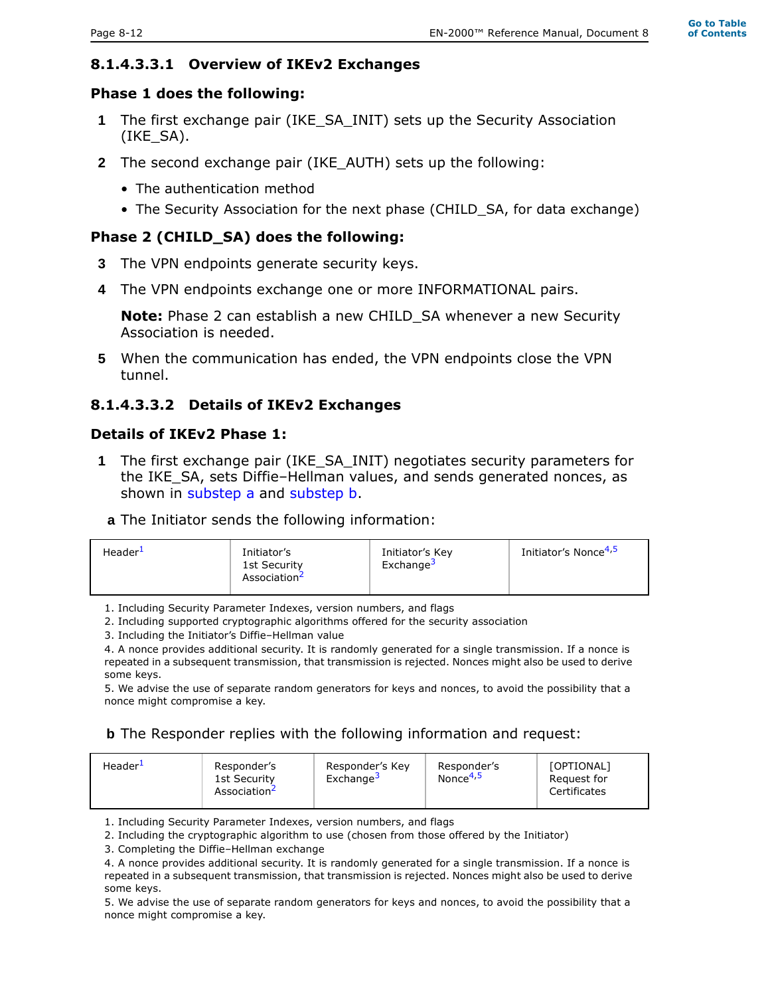#### **Go to Table of Contents**

#### **8.1.4.3.3.1 Overview of IKEv2 Exchanges**

#### **Phase 1 does the following:**

- **1** The first exchange pair (IKE\_SA\_INIT) sets up the Security Association (IKE\_SA).
- **2** The second exchange pair (IKE\_AUTH) sets up the following:
	- The authentication method
	- The Security Association for the next phase (CHILD SA, for data exchange)

#### **Phase 2 (CHILD\_SA) does the following:**

- **3** The VPN endpoints generate security keys.
- **4** The VPN endpoints exchange one or more INFORMATIONAL pairs.

**Note:** Phase 2 can establish a new CHILD\_SA whenever a new Security Association is needed.

**5** When the communication has ended, the VPN endpoints close the VPN tunnel.

#### **8.1.4.3.3.2 Details of IKEv2 Exchanges**

#### **Details of IKEv2 Phase 1:**

- **1** The first exchange pair (IKE\_SA\_INIT) negotiates security parameters for the IKE\_SA, sets Diffie–Hellman values, and sends generated nonces, as shown in substep a and substep b.
	- **a** The Initiator sends the following information:

| Header <sup>1</sup> | Initiator's<br>1st Security<br>Association- | Initiator's Key<br>Exchange <sup>3</sup> | Initiator's Nonce <sup>4,5</sup> |
|---------------------|---------------------------------------------|------------------------------------------|----------------------------------|
|---------------------|---------------------------------------------|------------------------------------------|----------------------------------|

1. Including Security Parameter Indexes, version numbers, and flags

2. Including supported cryptographic algorithms offered for the security association

3. Including the Initiator's Diffie–Hellman value

4. A nonce provides additional security. It is randomly generated for a single transmission. If a nonce is repeated in a subsequent transmission, that transmission is rejected. Nonces might also be used to derive some keys.

5. We advise the use of separate random generators for keys and nonces, to avoid the possibility that a nonce might compromise a key.

#### **b** The Responder replies with the following information and request:

| Header <sup>1</sup><br>Responder's Key<br>Responder's<br>Exchange <sup>3</sup><br>1st Security<br>Association <sup>2</sup> | <b>[OPTIONAL]</b><br>Responder's<br>Nonce <sup>4,5</sup><br>Request for<br>Certificates |
|----------------------------------------------------------------------------------------------------------------------------|-----------------------------------------------------------------------------------------|
|----------------------------------------------------------------------------------------------------------------------------|-----------------------------------------------------------------------------------------|

1. Including Security Parameter Indexes, version numbers, and flags

2. Including the cryptographic algorithm to use (chosen from those offered by the Initiator)

3. Completing the Diffie–Hellman exchange

4. A nonce provides additional security. It is randomly generated for a single transmission. If a nonce is repeated in a subsequent transmission, that transmission is rejected. Nonces might also be used to derive some keys.

5. We advise the use of separate random generators for keys and nonces, to avoid the possibility that a nonce might compromise a key.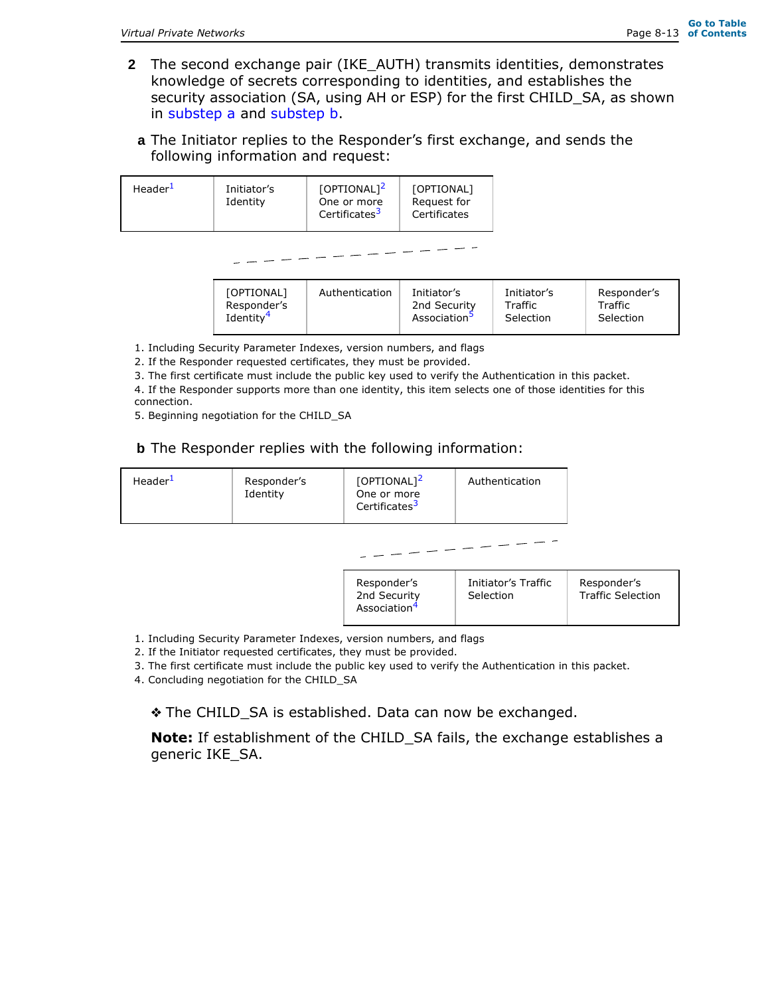- **2** The second exchange pair (IKE\_AUTH) transmits identities, demonstrates knowledge of secrets corresponding to identities, and establishes the security association (SA, using AH or ESP) for the first CHILD\_SA, as shown in substep a and substep b.
	- **a** The Initiator replies to the Responder's first exchange, and sends the following information and request:

| Header <sup>1</sup> | [OPTIONAL] <sup>2</sup>   | [OPTIONAL]   |
|---------------------|---------------------------|--------------|
| Initiator's         | One or more               | Request for  |
| Identity            | Certificates <sup>3</sup> | Certificates |

| [OPTIONAL]            | Authentication | Initiator's              | Initiator's | Responder's |
|-----------------------|----------------|--------------------------|-------------|-------------|
| Responder's           |                | 2nd Security             | Traffic     | Traffic     |
| Identity <sup>4</sup> |                | Association <sup>5</sup> | Selection   | Selection   |

1. Including Security Parameter Indexes, version numbers, and flags

2. If the Responder requested certificates, they must be provided.

3. The first certificate must include the public key used to verify the Authentication in this packet.

4. If the Responder supports more than one identity, this item selects one of those identities for this connection.

5. Beginning negotiation for the CHILD\_SA

#### **b** The Responder replies with the following information:

| Header <sup>1</sup> | Responder's<br>Identity | $[OPTIONAL]^2$<br>One or more<br>Certificates <sup>3</sup> | Authentication                   |                                         |
|---------------------|-------------------------|------------------------------------------------------------|----------------------------------|-----------------------------------------|
|                     |                         |                                                            |                                  |                                         |
|                     |                         | Responder's<br>2nd Security<br>Association <sup>4</sup>    | Initiator's Traffic<br>Selection | Responder's<br><b>Traffic Selection</b> |

1. Including Security Parameter Indexes, version numbers, and flags

2. If the Initiator requested certificates, they must be provided.

3. The first certificate must include the public key used to verify the Authentication in this packet.

4. Concluding negotiation for the CHILD\_SA

❖ The CHILD\_SA is established. Data can now be exchanged.

**Note:** If establishment of the CHILD\_SA fails, the exchange establishes a generic IKE\_SA.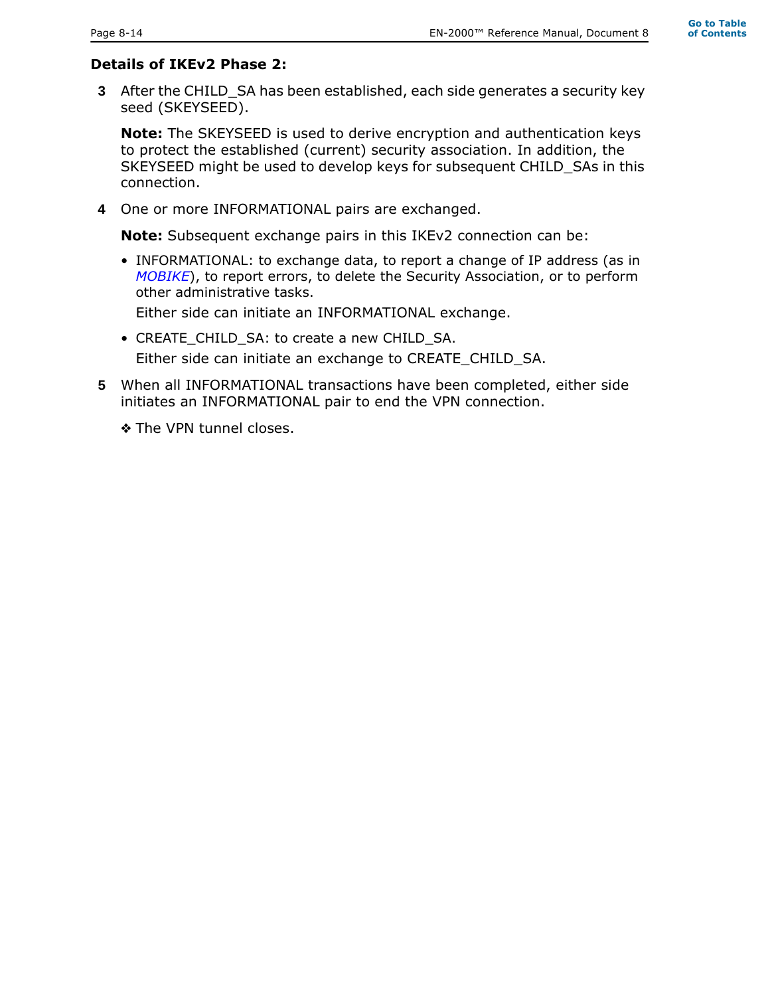# **Details of IKEv2 Phase 2:**

**3** After the CHILD\_SA has been established, each side generates a security key seed (SKEYSEED).

**Note:** The SKEYSEED is used to derive encryption and authentication keys to protect the established (current) security association. In addition, the SKEYSEED might be used to develop keys for subsequent CHILD\_SAs in this connection.

**4** One or more INFORMATIONAL pairs are exchanged.

**Note:** Subsequent exchange pairs in this IKEv2 connection can be:

• INFORMATIONAL: to exchange data, to report a change of IP address (as in *MOBIKE*), to report errors, to delete the Security Association, or to perform other administrative tasks.

Either side can initiate an INFORMATIONAL exchange.

• CREATE CHILD SA: to create a new CHILD SA.

Either side can initiate an exchange to CREATE\_CHILD\_SA.

**5** When all INFORMATIONAL transactions have been completed, either side initiates an INFORMATIONAL pair to end the VPN connection.

❖ The VPN tunnel closes.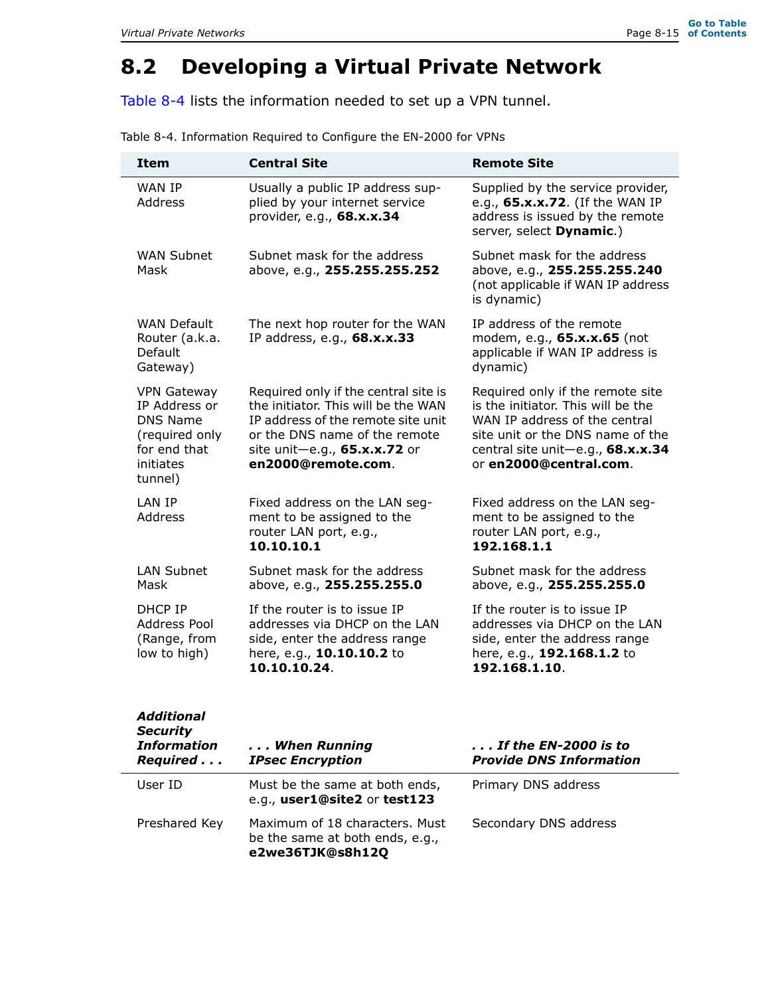# **8.2 Developing a Virtual Private Network**

Table 8-4 lists the information needed to set up a VPN tunnel.

| <b>Item</b>                                                                                                             | <b>Central Site</b>                                                                                                                                                                                      | <b>Remote Site</b>                                                                                                                                                                                         |
|-------------------------------------------------------------------------------------------------------------------------|----------------------------------------------------------------------------------------------------------------------------------------------------------------------------------------------------------|------------------------------------------------------------------------------------------------------------------------------------------------------------------------------------------------------------|
| <b>WAN TP</b><br>Address                                                                                                | Usually a public IP address sup-<br>plied by your internet service<br>provider, e.g., 68.x.x.34                                                                                                          | Supplied by the service provider,<br>e.g., 65.x.x.72. (If the WAN IP<br>address is issued by the remote<br>server, select Dynamic.)                                                                        |
| <b>WAN Subnet</b><br>Mask                                                                                               | Subnet mask for the address<br>above, e.g., 255.255.255.252                                                                                                                                              | Subnet mask for the address<br>above, e.g., 255.255.255.240<br>(not applicable if WAN IP address<br>is dynamic)                                                                                            |
| <b>WAN Default</b><br>Router (a.k.a.<br>Default<br>Gateway)                                                             | The next hop router for the WAN<br>IP address, e.g., 68.x.x.33                                                                                                                                           | IP address of the remote<br>modem, e.g., 65.x.x.65 (not<br>applicable if WAN IP address is<br>dynamic)                                                                                                     |
| <b>VPN Gateway</b><br>IP Address or<br><b>DNS Name</b><br>(required only<br>for end that<br><i>initiates</i><br>tunnel) | Required only if the central site is<br>the initiator. This will be the WAN<br>IP address of the remote site unit<br>or the DNS name of the remote<br>site unit-e.g., 65.x.x.72 or<br>en2000@remote.com. | Required only if the remote site<br>is the initiator. This will be the<br>WAN IP address of the central<br>site unit or the DNS name of the<br>central site unit-e.g., 68.x.x.34<br>or en2000@central.com. |
| <b>I AN TP</b><br><b>Address</b>                                                                                        | Fixed address on the LAN seg-<br>ment to be assigned to the<br>router LAN port, e.g.,<br>10.10.10.1                                                                                                      | Fixed address on the LAN seg-<br>ment to be assigned to the<br>router LAN port, e.g.,<br>192.168.1.1                                                                                                       |
| <b>LAN Subnet</b><br>Mask                                                                                               | Subnet mask for the address<br>above, e.g., 255.255.255.0                                                                                                                                                | Subnet mask for the address<br>above, e.g., 255.255.255.0                                                                                                                                                  |
| DHCP IP<br>Address Pool<br>(Range, from<br>low to high)                                                                 | If the router is to issue IP<br>addresses via DHCP on the LAN<br>side, enter the address range<br>here, e.g., 10.10.10.2 to<br>10.10.10.24.                                                              | If the router is to issue IP<br>addresses via DHCP on the LAN<br>side, enter the address range<br>here, e.g., 192.168.1.2 to<br>192.168.1.10.                                                              |

Table 8-4. Information Required to Configure the EN-2000 for VPNs

| <b>Additional</b><br><b>Security</b><br><b>Information</b><br>Required | When Running<br><b>IPsec Encryption</b>                                               | , , , If the EN-2000 is to<br><b>Provide DNS Information</b> |
|------------------------------------------------------------------------|---------------------------------------------------------------------------------------|--------------------------------------------------------------|
| User ID                                                                | Must be the same at both ends,<br>e.g., user1@site2 or test123                        | Primary DNS address                                          |
| Preshared Key                                                          | Maximum of 18 characters. Must<br>be the same at both ends, e.g.,<br>e2we36TJK@s8h12Q | Secondary DNS address                                        |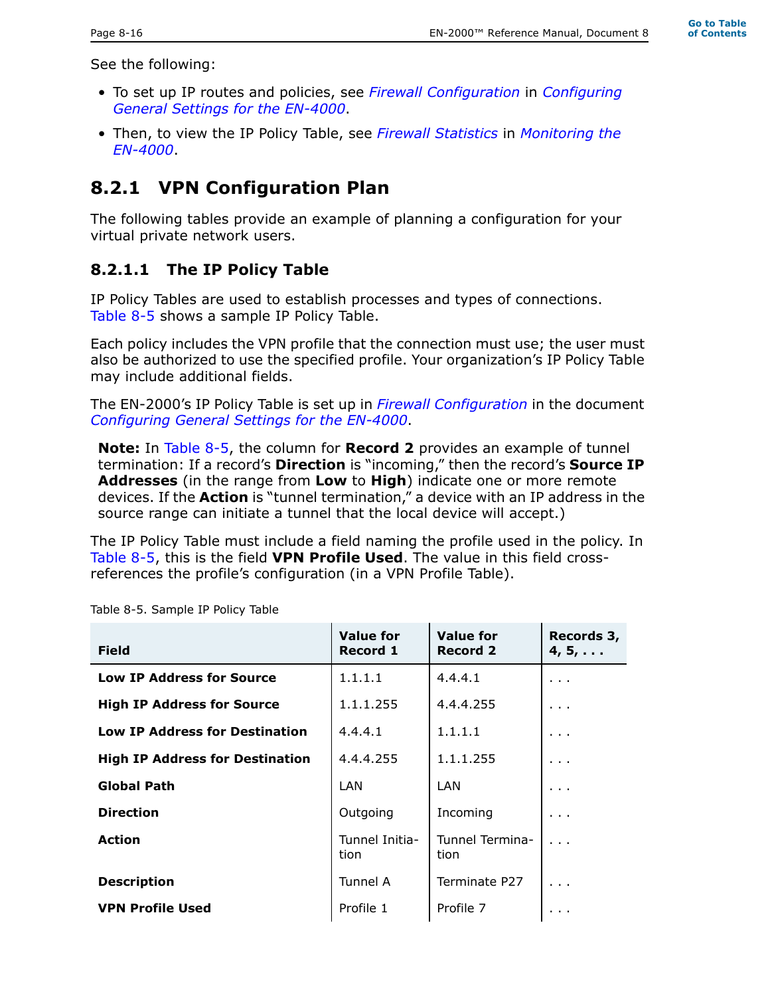**Go to Table of Contents**

See the following:

- To set up IP routes and policies, see *Firewall Configuration* in *Configuring General Settings for the EN-4000*.
- Then, to view the IP Policy Table, see *Firewall Statistics* in *Monitoring the EN-4000*.

# **8.2.1 VPN Configuration Plan**

The following tables provide an example of planning a configuration for your virtual private network users.

### **8.2.1.1 The IP Policy Table**

IP Policy Tables are used to establish processes and types of connections. Table 8-5 shows a sample IP Policy Table.

Each policy includes the VPN profile that the connection must use; the user must also be authorized to use the specified profile. Your organization's IP Policy Table may include additional fields.

The EN-2000's IP Policy Table is set up in *Firewall Configuration* in the document *Configuring General Settings for the EN-4000*.

**Note:** In Table 8-5, the column for **Record 2** provides an example of tunnel termination: If a record's **Direction** is "incoming," then the record's **Source IP Addresses** (in the range from **Low** to **High**) indicate one or more remote devices. If the **Action** is "tunnel termination," a device with an IP address in the source range can initiate a tunnel that the local device will accept.)

The IP Policy Table must include a field naming the profile used in the policy. In Table 8-5, this is the field **VPN Profile Used**. The value in this field crossreferences the profile's configuration (in a VPN Profile Table).

| <b>Field</b>                           | <b>Value for</b><br><b>Record 1</b> | <b>Value for</b><br><b>Record 2</b> | Records 3,<br>$4, 5, \ldots$ |
|----------------------------------------|-------------------------------------|-------------------------------------|------------------------------|
| <b>Low IP Address for Source</b>       | 1.1.1.1                             | 4.4.4.1                             | $\cdots$                     |
| <b>High IP Address for Source</b>      | 1.1.1.255                           | 4.4.4.255                           | .                            |
| <b>Low IP Address for Destination</b>  | 4.4.4.1                             | 1.1.1.1                             | .                            |
| <b>High IP Address for Destination</b> | 4.4.4.255                           | 1.1.1.255                           | .                            |
| <b>Global Path</b>                     | LAN                                 | LAN                                 | $\cdots$                     |
| <b>Direction</b>                       | Outgoing                            | Incoming                            | .                            |
| <b>Action</b>                          | Tunnel Initia-<br>tion              | Tunnel Termina-<br>tion             |                              |
| <b>Description</b>                     | Tunnel A                            | Terminate P27                       |                              |
| <b>VPN Profile Used</b>                | Profile 1                           | Profile 7                           | .                            |

Table 8-5. Sample IP Policy Table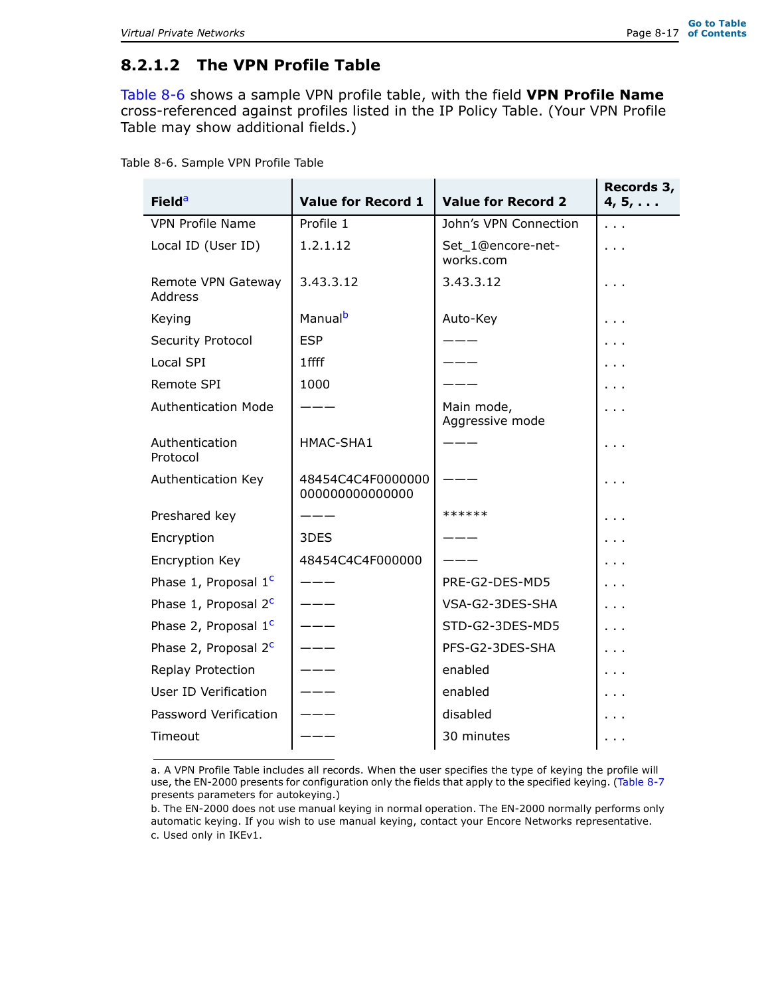### **8.2.1.2 The VPN Profile Table**

Table 8-6 shows a sample VPN profile table, with the field **VPN Profile Name** cross-referenced against profiles listed in the IP Policy Table. (Your VPN Profile Table may show additional fields.)

| <b>Field<sup>a</sup></b>      | <b>Value for Record 1</b>           | <b>Value for Record 2</b>      | Records 3,<br>$4, 5, \ldots$ |
|-------------------------------|-------------------------------------|--------------------------------|------------------------------|
| <b>VPN Profile Name</b>       | Profile 1                           | John's VPN Connection          | $\sim$ $\sim$                |
| Local ID (User ID)            | 1.2.1.12                            | Set 1@encore-net-<br>works.com | $\sim$ $\sim$                |
| Remote VPN Gateway<br>Address | 3.43.3.12                           | 3.43.3.12                      |                              |
| Keying                        | Manual <sup>b</sup>                 | Auto-Key                       |                              |
| Security Protocol             | <b>ESP</b>                          |                                |                              |
| Local SPI                     | 1 ffff                              |                                |                              |
| <b>Remote SPI</b>             | 1000                                |                                |                              |
| <b>Authentication Mode</b>    |                                     | Main mode,<br>Aggressive mode  |                              |
| Authentication<br>Protocol    | HMAC-SHA1                           |                                |                              |
| Authentication Key            | 48454C4C4F0000000<br>00000000000000 |                                |                              |
| Preshared key                 |                                     | ******                         |                              |
| Encryption                    | 3DES                                |                                |                              |
| Encryption Key                | 48454C4C4F000000                    |                                |                              |
| Phase 1, Proposal $1c$        |                                     | PRE-G2-DES-MD5                 |                              |
| Phase 1, Proposal $2c$        |                                     | VSA-G2-3DES-SHA                |                              |
| Phase 2, Proposal $1c$        |                                     | STD-G2-3DES-MD5                |                              |
| Phase 2, Proposal $2^c$       |                                     | PFS-G2-3DES-SHA                |                              |
| Replay Protection             |                                     | enabled                        | $\sim$ $\sim$                |
| User ID Verification          |                                     | enabled                        |                              |
| Password Verification         |                                     | disabled                       |                              |
| Timeout                       |                                     | 30 minutes                     |                              |

Table 8-6. Sample VPN Profile Table

a. A VPN Profile Table includes all records. When the user specifies the type of keying the profile will use, the EN-2000 presents for configuration only the fields that apply to the specified keying. (Table 8-7 presents parameters for autokeying.)

b. The EN-2000 does not use manual keying in normal operation. The EN-2000 normally performs only automatic keying. If you wish to use manual keying, contact your Encore Networks representative. c. Used only in IKEv1.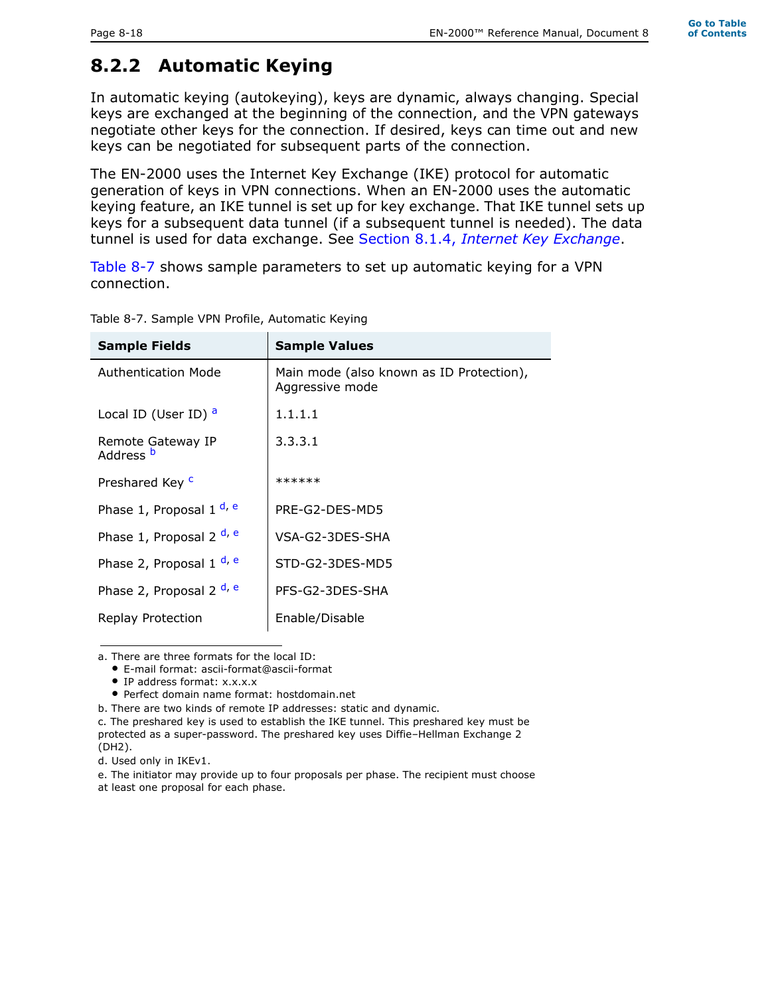# **8.2.2 Automatic Keying**

In automatic keying (autokeying), keys are dynamic, always changing. Special keys are exchanged at the beginning of the connection, and the VPN gateways negotiate other keys for the connection. If desired, keys can time out and new keys can be negotiated for subsequent parts of the connection.

The EN-2000 uses the Internet Key Exchange (IKE) protocol for automatic generation of keys in VPN connections. When an EN-2000 uses the automatic keying feature, an IKE tunnel is set up for key exchange. That IKE tunnel sets up keys for a subsequent data tunnel (if a subsequent tunnel is needed). The data tunnel is used for data exchange. See Section 8.1.4, *Internet Key Exchange*.

Table 8-7 shows sample parameters to set up automatic keying for a VPN connection.

| <b>Sample Fields</b>                      | <b>Sample Values</b>                                        |  |  |  |
|-------------------------------------------|-------------------------------------------------------------|--|--|--|
| <b>Authentication Mode</b>                | Main mode (also known as ID Protection),<br>Aggressive mode |  |  |  |
| Local ID (User ID) <sup>a</sup>           | 1.1.1.1                                                     |  |  |  |
| Remote Gateway IP<br>Address <sup>b</sup> | 3.3.3.1                                                     |  |  |  |
| Preshared Key <sup>c</sup>                | ******                                                      |  |  |  |
| Phase 1, Proposal 1 <sup>d, e</sup>       | PRF-G2-DFS-MD5                                              |  |  |  |
| Phase 1, Proposal 2 <sup>d, e</sup>       | VSA-G2-3DFS-SHA                                             |  |  |  |
| Phase 2, Proposal 1 d, e                  | STD-G2-3DES-MD5                                             |  |  |  |
| Phase 2, Proposal 2 d, e                  | PFS-G2-3DFS-SHA                                             |  |  |  |
| Replay Protection                         | Enable/Disable                                              |  |  |  |

Table 8-7. Sample VPN Profile, Automatic Keying

a. There are three formats for the local ID:

• E-mail format: ascii-format@ascii-format

• IP address format: x.x.x.x

• Perfect domain name format: hostdomain.net

b. There are two kinds of remote IP addresses: static and dynamic.

c. The preshared key is used to establish the IKE tunnel. This preshared key must be protected as a super-password. The preshared key uses Diffie–Hellman Exchange 2 (DH2).

e. The initiator may provide up to four proposals per phase. The recipient must choose at least one proposal for each phase.

d. Used only in IKEv1.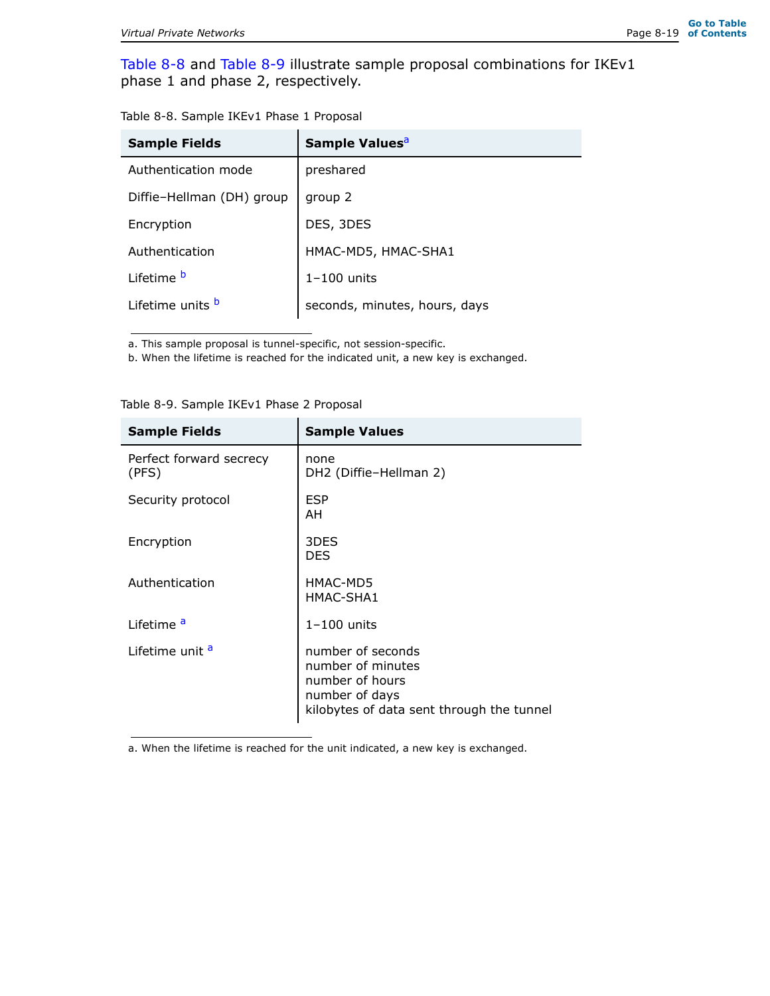Table 8-8 and Table 8-9 illustrate sample proposal combinations for IKEv1 phase 1 and phase 2, respectively.

| Table 8-8. Sample IKEv1 Phase 1 Proposal |  |  |  |
|------------------------------------------|--|--|--|
|                                          |  |  |  |

| <b>Sample Fields</b>      | Sample Values <sup>a</sup>    |
|---------------------------|-------------------------------|
| Authentication mode       | preshared                     |
| Diffie-Hellman (DH) group | group 2                       |
| Encryption                | DES, 3DES                     |
| Authentication            | HMAC-MD5, HMAC-SHA1           |
| Lifetime <sup>b</sup>     | $1-100$ units                 |
| Lifetime units b          | seconds, minutes, hours, days |

a. This sample proposal is tunnel-specific, not session-specific.

b. When the lifetime is reached for the indicated unit, a new key is exchanged.

| <b>Sample Fields</b>             | <b>Sample Values</b>                                                                                                     |  |  |
|----------------------------------|--------------------------------------------------------------------------------------------------------------------------|--|--|
| Perfect forward secrecy<br>(PFS) | none<br>DH2 (Diffie-Hellman 2)                                                                                           |  |  |
| Security protocol                | <b>ESP</b><br>AH                                                                                                         |  |  |
| Encryption                       | 3DES<br><b>DES</b>                                                                                                       |  |  |
| Authentication                   | HMAC-MD5<br>HMAC-SHA1                                                                                                    |  |  |
| I ifetime <sup>a</sup>           | $1-100$ units                                                                                                            |  |  |
| Lifetime unit <sup>a</sup>       | number of seconds<br>number of minutes<br>number of hours<br>number of days<br>kilobytes of data sent through the tunnel |  |  |

Table 8-9. Sample IKEv1 Phase 2 Proposal

a. When the lifetime is reached for the unit indicated, a new key is exchanged.